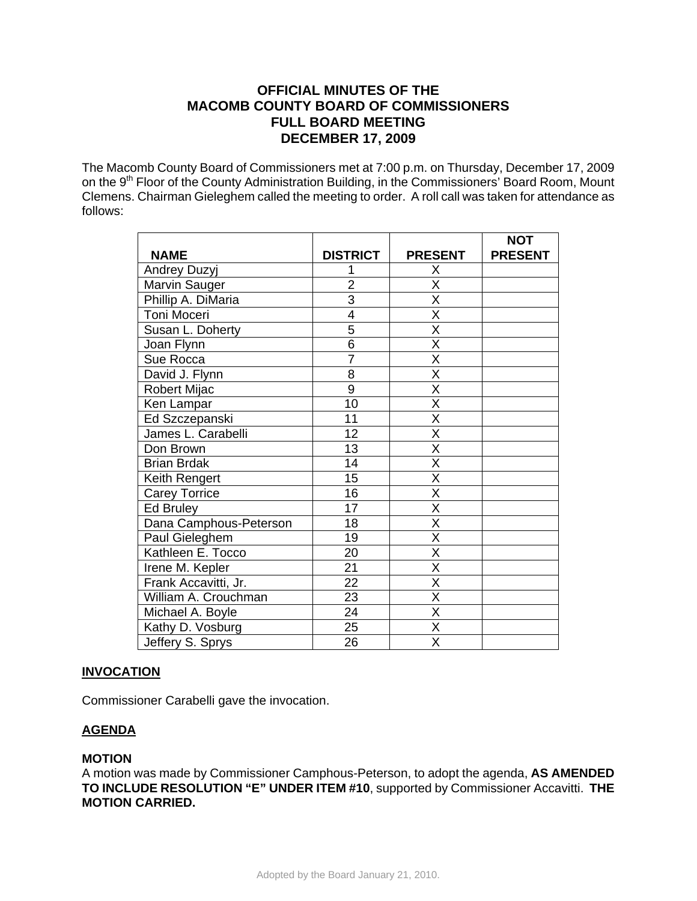# **OFFICIAL MINUTES OF THE MACOMB COUNTY BOARD OF COMMISSIONERS FULL BOARD MEETING DECEMBER 17, 2009**

The Macomb County Board of Commissioners met at 7:00 p.m. on Thursday, December 17, 2009 on the 9<sup>th</sup> Floor of the County Administration Building, in the Commissioners' Board Room, Mount Clemens. Chairman Gieleghem called the meeting to order. A roll call was taken for attendance as follows:

|                        |                 |                         | <b>NOT</b>     |
|------------------------|-----------------|-------------------------|----------------|
| <b>NAME</b>            | <b>DISTRICT</b> | <b>PRESENT</b>          | <b>PRESENT</b> |
| Andrey Duzyj           |                 | X                       |                |
| Marvin Sauger          | $\overline{2}$  | X                       |                |
| Phillip A. DiMaria     | $\overline{3}$  | X                       |                |
| Toni Moceri            | 4               | $\overline{\mathsf{x}}$ |                |
| Susan L. Doherty       | 5               | X                       |                |
| Joan Flynn             | $\overline{6}$  | $\overline{\mathsf{x}}$ |                |
| Sue Rocca              | $\overline{7}$  | $\overline{\mathsf{x}}$ |                |
| David J. Flynn         | 8               | $\overline{\mathsf{X}}$ |                |
| Robert Mijac           | 9               | $\overline{\mathsf{x}}$ |                |
| Ken Lampar             | 10              | $\overline{\mathsf{x}}$ |                |
| Ed Szczepanski         | 11              | X                       |                |
| James L. Carabelli     | 12              | $\overline{\mathsf{x}}$ |                |
| Don Brown              | 13              | $\overline{\mathsf{x}}$ |                |
| <b>Brian Brdak</b>     | 14              | X                       |                |
| Keith Rengert          | 15              | $\overline{\mathsf{x}}$ |                |
| <b>Carey Torrice</b>   | 16              | $\overline{\mathsf{x}}$ |                |
| Ed Bruley              | 17              | $\overline{\mathsf{x}}$ |                |
| Dana Camphous-Peterson | 18              | $\overline{\mathsf{x}}$ |                |
| Paul Gieleghem         | 19              | $\overline{\mathsf{x}}$ |                |
| Kathleen E. Tocco      | 20              | X                       |                |
| Irene M. Kepler        | 21              | X                       |                |
| Frank Accavitti, Jr.   | $\overline{2}2$ | $\overline{\mathsf{x}}$ |                |
| William A. Crouchman   | 23              | X                       |                |
| Michael A. Boyle       | 24              | Χ                       |                |
| Kathy D. Vosburg       | 25              | $\overline{\sf x}$      |                |
| Jeffery S. Sprys       | 26              | $\overline{\mathsf{x}}$ |                |

# **INVOCATION**

Commissioner Carabelli gave the invocation.

# **AGENDA**

# **MOTION**

A motion was made by Commissioner Camphous-Peterson, to adopt the agenda, **AS AMENDED TO INCLUDE RESOLUTION "E" UNDER ITEM #10**, supported by Commissioner Accavitti. **THE MOTION CARRIED.**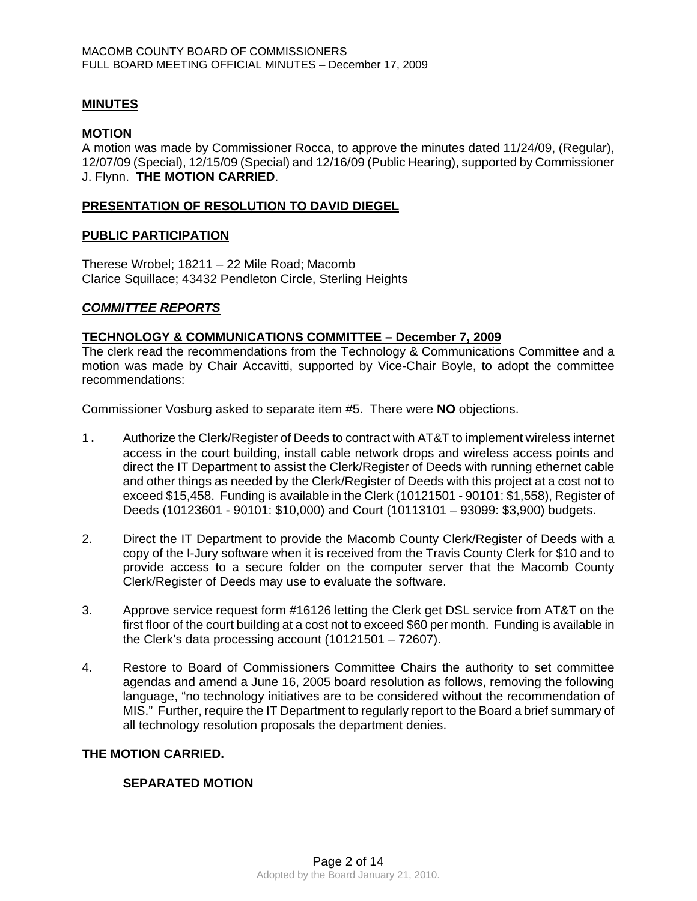## **MINUTES**

#### **MOTION**

A motion was made by Commissioner Rocca, to approve the minutes dated 11/24/09, (Regular), 12/07/09 (Special), 12/15/09 (Special) and 12/16/09 (Public Hearing), supported by Commissioner J. Flynn. **THE MOTION CARRIED**.

### **PRESENTATION OF RESOLUTION TO DAVID DIEGEL**

#### **PUBLIC PARTICIPATION**

Therese Wrobel; 18211 – 22 Mile Road; Macomb Clarice Squillace; 43432 Pendleton Circle, Sterling Heights

### *COMMITTEE REPORTS*

#### **TECHNOLOGY & COMMUNICATIONS COMMITTEE – December 7, 2009**

The clerk read the recommendations from the Technology & Communications Committee and a motion was made by Chair Accavitti, supported by Vice-Chair Boyle, to adopt the committee recommendations:

Commissioner Vosburg asked to separate item #5. There were **NO** objections.

- 1. Authorize the Clerk/Register of Deeds to contract with AT&T to implement wireless internet access in the court building, install cable network drops and wireless access points and direct the IT Department to assist the Clerk/Register of Deeds with running ethernet cable and other things as needed by the Clerk/Register of Deeds with this project at a cost not to exceed \$15,458. Funding is available in the Clerk (10121501 - 90101: \$1,558), Register of Deeds (10123601 - 90101: \$10,000) and Court (10113101 – 93099: \$3,900) budgets.
- 2. Direct the IT Department to provide the Macomb County Clerk/Register of Deeds with a copy of the I-Jury software when it is received from the Travis County Clerk for \$10 and to provide access to a secure folder on the computer server that the Macomb County Clerk/Register of Deeds may use to evaluate the software.
- 3. Approve service request form #16126 letting the Clerk get DSL service from AT&T on the first floor of the court building at a cost not to exceed \$60 per month. Funding is available in the Clerk's data processing account (10121501 – 72607).
- 4. Restore to Board of Commissioners Committee Chairs the authority to set committee agendas and amend a June 16, 2005 board resolution as follows, removing the following language, "no technology initiatives are to be considered without the recommendation of MIS." Further, require the IT Department to regularly report to the Board a brief summary of all technology resolution proposals the department denies.

#### **THE MOTION CARRIED.**

### **SEPARATED MOTION**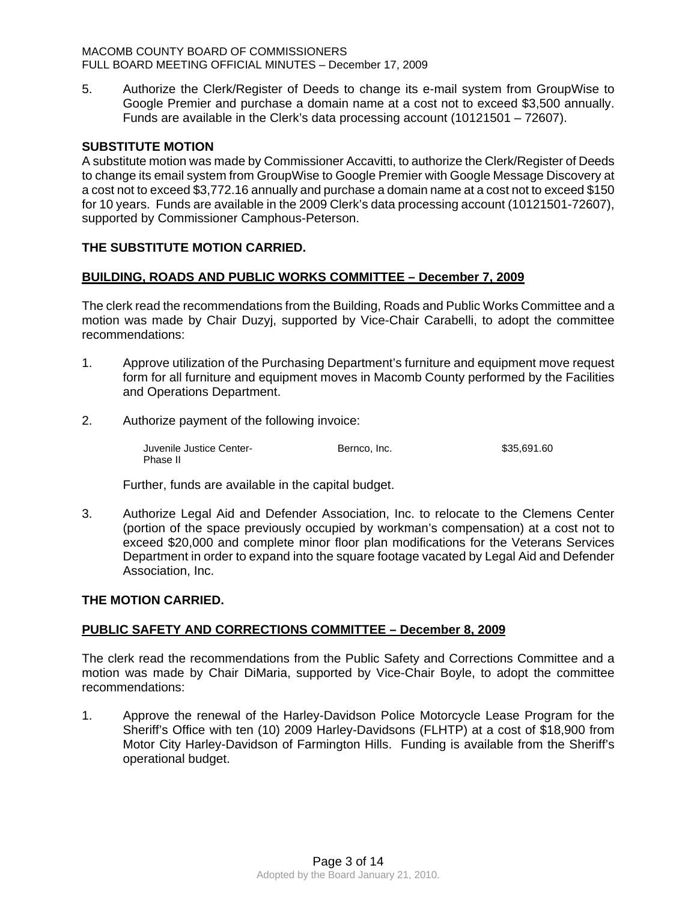#### MACOMB COUNTY BOARD OF COMMISSIONERS FULL BOARD MEETING OFFICIAL MINUTES – December 17, 2009

5. Authorize the Clerk/Register of Deeds to change its e-mail system from GroupWise to Google Premier and purchase a domain name at a cost not to exceed \$3,500 annually. Funds are available in the Clerk's data processing account (10121501 – 72607).

# **SUBSTITUTE MOTION**

A substitute motion was made by Commissioner Accavitti, to authorize the Clerk/Register of Deeds to change its email system from GroupWise to Google Premier with Google Message Discovery at a cost not to exceed \$3,772.16 annually and purchase a domain name at a cost not to exceed \$150 for 10 years. Funds are available in the 2009 Clerk's data processing account (10121501-72607), supported by Commissioner Camphous-Peterson.

# **THE SUBSTITUTE MOTION CARRIED.**

# **BUILDING, ROADS AND PUBLIC WORKS COMMITTEE – December 7, 2009**

The clerk read the recommendations from the Building, Roads and Public Works Committee and a motion was made by Chair Duzyj, supported by Vice-Chair Carabelli, to adopt the committee recommendations:

- 1. Approve utilization of the Purchasing Department's furniture and equipment move request form for all furniture and equipment moves in Macomb County performed by the Facilities and Operations Department.
- 2. Authorize payment of the following invoice:

 Juvenile Justice Center- Bernco, Inc. \$35,691.60 Phase II

Further, funds are available in the capital budget.

3. Authorize Legal Aid and Defender Association, Inc. to relocate to the Clemens Center (portion of the space previously occupied by workman's compensation) at a cost not to exceed \$20,000 and complete minor floor plan modifications for the Veterans Services Department in order to expand into the square footage vacated by Legal Aid and Defender Association, Inc.

## **THE MOTION CARRIED.**

### **PUBLIC SAFETY AND CORRECTIONS COMMITTEE – December 8, 2009**

The clerk read the recommendations from the Public Safety and Corrections Committee and a motion was made by Chair DiMaria, supported by Vice-Chair Boyle, to adopt the committee recommendations:

1. Approve the renewal of the Harley-Davidson Police Motorcycle Lease Program for the Sheriff's Office with ten (10) 2009 Harley-Davidsons (FLHTP) at a cost of \$18,900 from Motor City Harley-Davidson of Farmington Hills. Funding is available from the Sheriff's operational budget.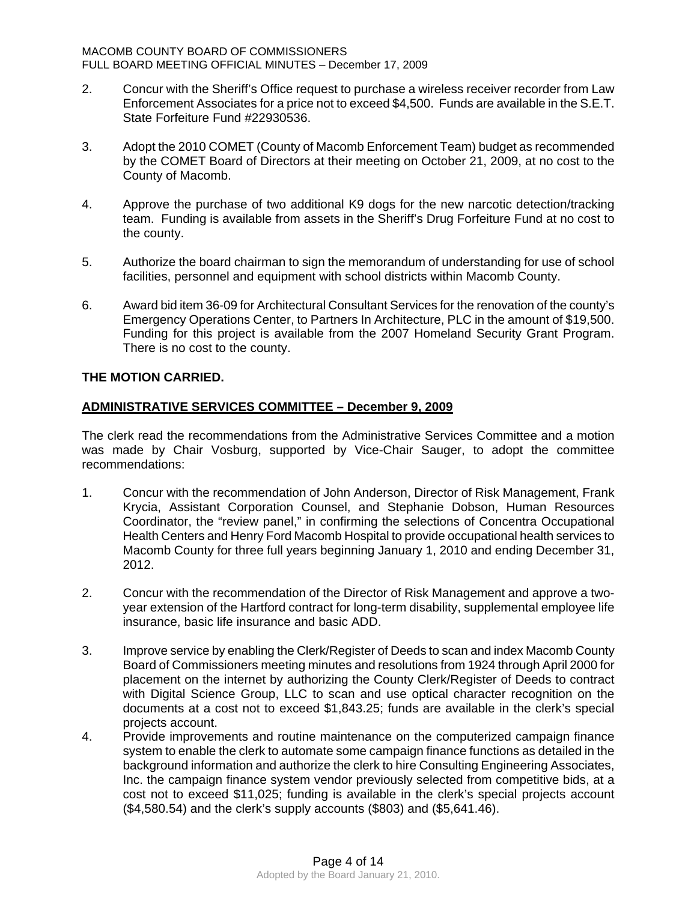- 2. Concur with the Sheriff's Office request to purchase a wireless receiver recorder from Law Enforcement Associates for a price not to exceed \$4,500. Funds are available in the S.E.T. State Forfeiture Fund #22930536.
- 3. Adopt the 2010 COMET (County of Macomb Enforcement Team) budget as recommended by the COMET Board of Directors at their meeting on October 21, 2009, at no cost to the County of Macomb.
- 4. Approve the purchase of two additional K9 dogs for the new narcotic detection/tracking team. Funding is available from assets in the Sheriff's Drug Forfeiture Fund at no cost to the county.
- 5. Authorize the board chairman to sign the memorandum of understanding for use of school facilities, personnel and equipment with school districts within Macomb County.
- 6. Award bid item 36-09 for Architectural Consultant Services for the renovation of the county's Emergency Operations Center, to Partners In Architecture, PLC in the amount of \$19,500. Funding for this project is available from the 2007 Homeland Security Grant Program. There is no cost to the county.

# **THE MOTION CARRIED.**

# **ADMINISTRATIVE SERVICES COMMITTEE – December 9, 2009**

The clerk read the recommendations from the Administrative Services Committee and a motion was made by Chair Vosburg, supported by Vice-Chair Sauger, to adopt the committee recommendations:

- 1. Concur with the recommendation of John Anderson, Director of Risk Management, Frank Krycia, Assistant Corporation Counsel, and Stephanie Dobson, Human Resources Coordinator, the "review panel," in confirming the selections of Concentra Occupational Health Centers and Henry Ford Macomb Hospital to provide occupational health services to Macomb County for three full years beginning January 1, 2010 and ending December 31, 2012.
- 2. Concur with the recommendation of the Director of Risk Management and approve a twoyear extension of the Hartford contract for long-term disability, supplemental employee life insurance, basic life insurance and basic ADD.
- 3. Improve service by enabling the Clerk/Register of Deeds to scan and index Macomb County Board of Commissioners meeting minutes and resolutions from 1924 through April 2000 for placement on the internet by authorizing the County Clerk/Register of Deeds to contract with Digital Science Group, LLC to scan and use optical character recognition on the documents at a cost not to exceed \$1,843.25; funds are available in the clerk's special projects account.
- 4. Provide improvements and routine maintenance on the computerized campaign finance system to enable the clerk to automate some campaign finance functions as detailed in the background information and authorize the clerk to hire Consulting Engineering Associates, Inc. the campaign finance system vendor previously selected from competitive bids, at a cost not to exceed \$11,025; funding is available in the clerk's special projects account (\$4,580.54) and the clerk's supply accounts (\$803) and (\$5,641.46).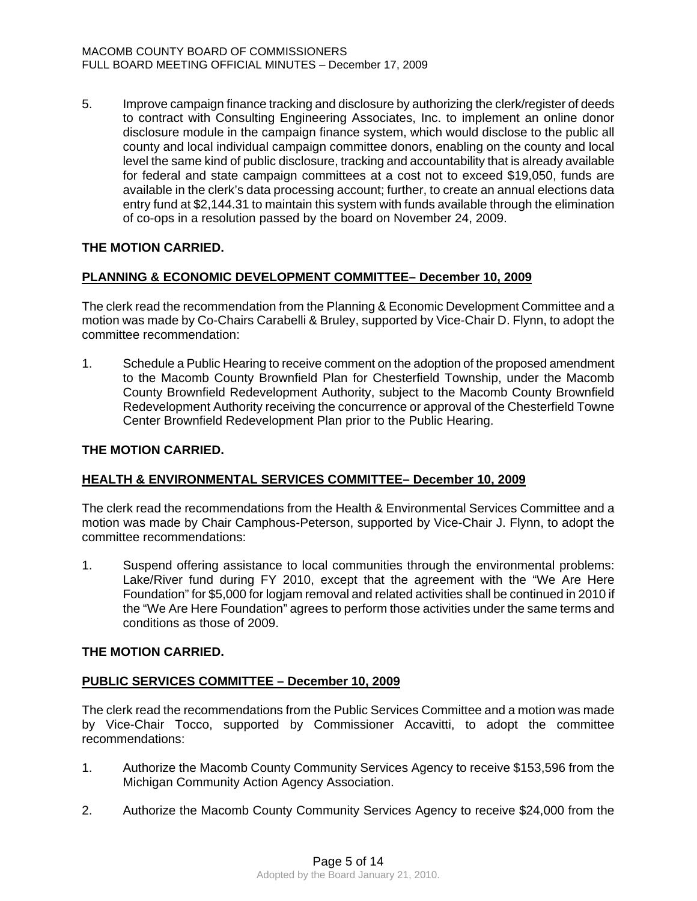5. Improve campaign finance tracking and disclosure by authorizing the clerk/register of deeds to contract with Consulting Engineering Associates, Inc. to implement an online donor disclosure module in the campaign finance system, which would disclose to the public all county and local individual campaign committee donors, enabling on the county and local level the same kind of public disclosure, tracking and accountability that is already available for federal and state campaign committees at a cost not to exceed \$19,050, funds are available in the clerk's data processing account; further, to create an annual elections data entry fund at \$2,144.31 to maintain this system with funds available through the elimination of co-ops in a resolution passed by the board on November 24, 2009.

# **THE MOTION CARRIED.**

# **PLANNING & ECONOMIC DEVELOPMENT COMMITTEE– December 10, 2009**

The clerk read the recommendation from the Planning & Economic Development Committee and a motion was made by Co-Chairs Carabelli & Bruley, supported by Vice-Chair D. Flynn, to adopt the committee recommendation:

1. Schedule a Public Hearing to receive comment on the adoption of the proposed amendment to the Macomb County Brownfield Plan for Chesterfield Township, under the Macomb County Brownfield Redevelopment Authority, subject to the Macomb County Brownfield Redevelopment Authority receiving the concurrence or approval of the Chesterfield Towne Center Brownfield Redevelopment Plan prior to the Public Hearing.

#### **THE MOTION CARRIED.**

### **HEALTH & ENVIRONMENTAL SERVICES COMMITTEE– December 10, 2009**

The clerk read the recommendations from the Health & Environmental Services Committee and a motion was made by Chair Camphous-Peterson, supported by Vice-Chair J. Flynn, to adopt the committee recommendations:

1. Suspend offering assistance to local communities through the environmental problems: Lake/River fund during FY 2010, except that the agreement with the "We Are Here Foundation" for \$5,000 for logjam removal and related activities shall be continued in 2010 if the "We Are Here Foundation" agrees to perform those activities under the same terms and conditions as those of 2009.

### **THE MOTION CARRIED.**

### **PUBLIC SERVICES COMMITTEE – December 10, 2009**

The clerk read the recommendations from the Public Services Committee and a motion was made by Vice-Chair Tocco, supported by Commissioner Accavitti, to adopt the committee recommendations:

- 1. Authorize the Macomb County Community Services Agency to receive \$153,596 from the Michigan Community Action Agency Association.
- 2. Authorize the Macomb County Community Services Agency to receive \$24,000 from the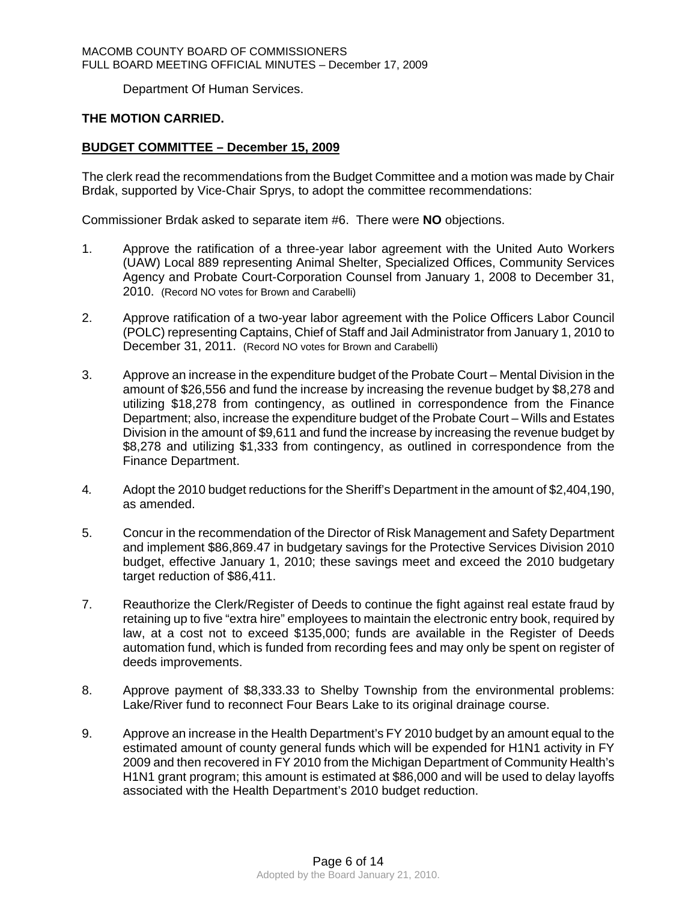Department Of Human Services.

# **THE MOTION CARRIED.**

# **BUDGET COMMITTEE – December 15, 2009**

The clerk read the recommendations from the Budget Committee and a motion was made by Chair Brdak, supported by Vice-Chair Sprys, to adopt the committee recommendations:

Commissioner Brdak asked to separate item #6. There were **NO** objections.

- 1. Approve the ratification of a three-year labor agreement with the United Auto Workers (UAW) Local 889 representing Animal Shelter, Specialized Offices, Community Services Agency and Probate Court-Corporation Counsel from January 1, 2008 to December 31, 2010. (Record NO votes for Brown and Carabelli)
- 2. Approve ratification of a two-year labor agreement with the Police Officers Labor Council (POLC) representing Captains, Chief of Staff and Jail Administrator from January 1, 2010 to December 31, 2011. (Record NO votes for Brown and Carabelli)
- 3. Approve an increase in the expenditure budget of the Probate Court Mental Division in the amount of \$26,556 and fund the increase by increasing the revenue budget by \$8,278 and utilizing \$18,278 from contingency, as outlined in correspondence from the Finance Department; also, increase the expenditure budget of the Probate Court – Wills and Estates Division in the amount of \$9,611 and fund the increase by increasing the revenue budget by \$8,278 and utilizing \$1,333 from contingency, as outlined in correspondence from the Finance Department.
- 4*.* Adopt the 2010 budget reductions for the Sheriff's Department in the amount of \$2,404,190, as amended.
- 5. Concur in the recommendation of the Director of Risk Management and Safety Department and implement \$86,869.47 in budgetary savings for the Protective Services Division 2010 budget, effective January 1, 2010; these savings meet and exceed the 2010 budgetary target reduction of \$86,411.
- 7. Reauthorize the Clerk/Register of Deeds to continue the fight against real estate fraud by retaining up to five "extra hire" employees to maintain the electronic entry book, required by law, at a cost not to exceed \$135,000; funds are available in the Register of Deeds automation fund, which is funded from recording fees and may only be spent on register of deeds improvements.
- 8. Approve payment of \$8,333.33 to Shelby Township from the environmental problems: Lake/River fund to reconnect Four Bears Lake to its original drainage course.
- 9. Approve an increase in the Health Department's FY 2010 budget by an amount equal to the estimated amount of county general funds which will be expended for H1N1 activity in FY 2009 and then recovered in FY 2010 from the Michigan Department of Community Health's H1N1 grant program; this amount is estimated at \$86,000 and will be used to delay layoffs associated with the Health Department's 2010 budget reduction.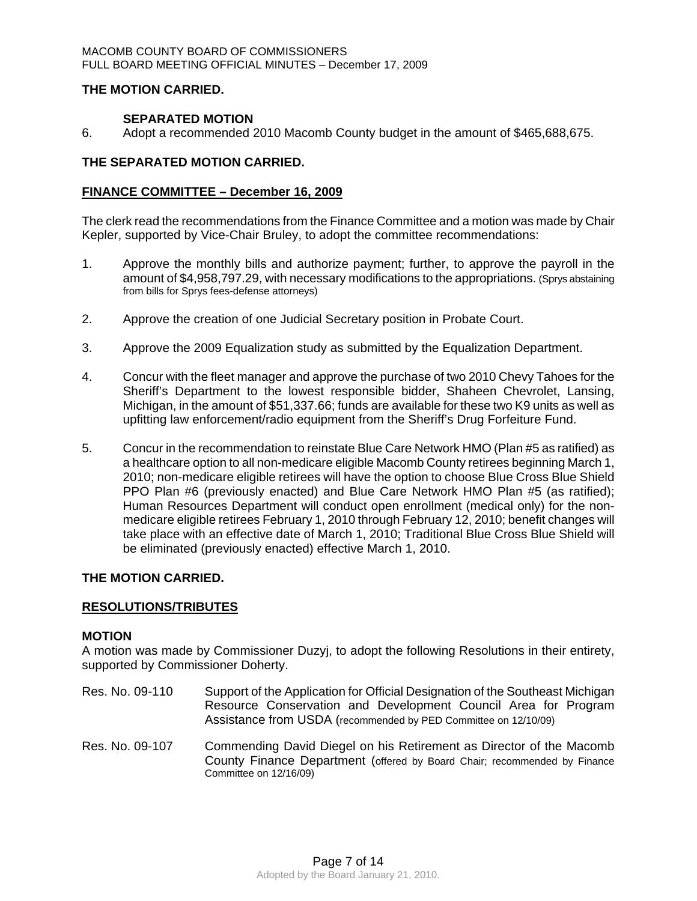#### MACOMB COUNTY BOARD OF COMMISSIONERS FULL BOARD MEETING OFFICIAL MINUTES – December 17, 2009

## **THE MOTION CARRIED.**

# **SEPARATED MOTION**

6. Adopt a recommended 2010 Macomb County budget in the amount of \$465,688,675.

# **THE SEPARATED MOTION CARRIED.**

### **FINANCE COMMITTEE – December 16, 2009**

The clerk read the recommendations from the Finance Committee and a motion was made by Chair Kepler, supported by Vice-Chair Bruley, to adopt the committee recommendations:

- 1. Approve the monthly bills and authorize payment; further, to approve the payroll in the amount of \$4,958,797.29, with necessary modifications to the appropriations. (Sprys abstaining from bills for Sprys fees-defense attorneys)
- 2. Approve the creation of one Judicial Secretary position in Probate Court.
- 3. Approve the 2009 Equalization study as submitted by the Equalization Department.
- 4. Concur with the fleet manager and approve the purchase of two 2010 Chevy Tahoes for the Sheriff's Department to the lowest responsible bidder, Shaheen Chevrolet, Lansing, Michigan, in the amount of \$51,337.66; funds are available for these two K9 units as well as upfitting law enforcement/radio equipment from the Sheriff's Drug Forfeiture Fund.
- 5. Concur in the recommendation to reinstate Blue Care Network HMO (Plan #5 as ratified) as a healthcare option to all non-medicare eligible Macomb County retirees beginning March 1, 2010; non-medicare eligible retirees will have the option to choose Blue Cross Blue Shield PPO Plan #6 (previously enacted) and Blue Care Network HMO Plan #5 (as ratified); Human Resources Department will conduct open enrollment (medical only) for the nonmedicare eligible retirees February 1, 2010 through February 12, 2010; benefit changes will take place with an effective date of March 1, 2010; Traditional Blue Cross Blue Shield will be eliminated (previously enacted) effective March 1, 2010.

### **THE MOTION CARRIED.**

### **RESOLUTIONS/TRIBUTES**

### **MOTION**

A motion was made by Commissioner Duzyj, to adopt the following Resolutions in their entirety, supported by Commissioner Doherty.

- Res. No. 09-110 Support of the Application for Official Designation of the Southeast Michigan Resource Conservation and Development Council Area for Program Assistance from USDA (recommended by PED Committee on 12/10/09)
- Res. No. 09-107 Commending David Diegel on his Retirement as Director of the Macomb County Finance Department (offered by Board Chair; recommended by Finance Committee on 12/16/09)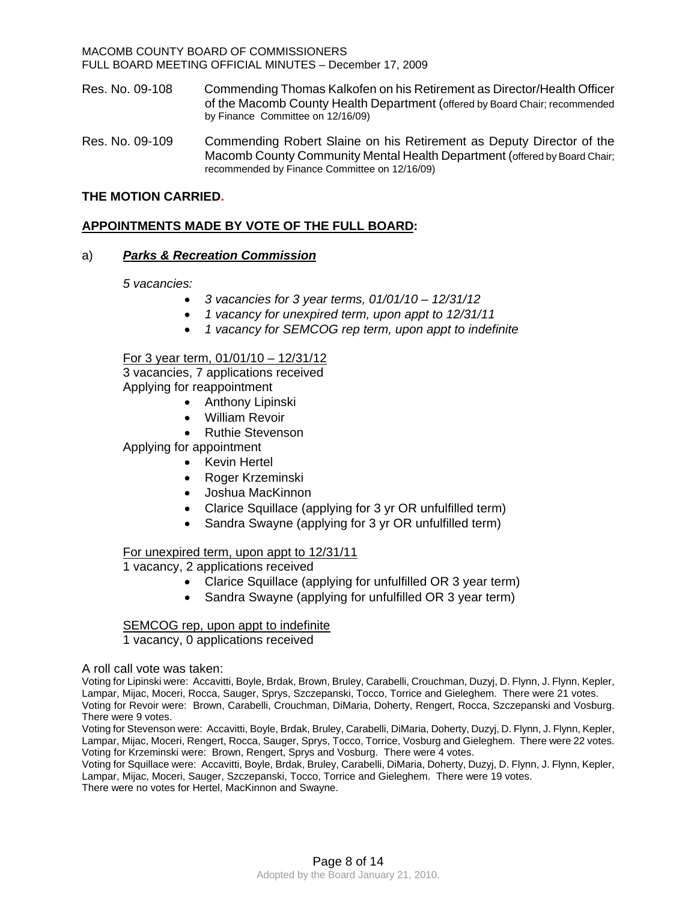MACOMB COUNTY BOARD OF COMMISSIONERS FULL BOARD MEETING OFFICIAL MINUTES – December 17, 2009

Res. No. 09-108 Commending Thomas Kalkofen on his Retirement as Director/Health Officer of the Macomb County Health Department (offered by Board Chair; recommended by Finance Committee on 12/16/09)

Res. No. 09-109 Commending Robert Slaine on his Retirement as Deputy Director of the Macomb County Community Mental Health Department (offered by Board Chair; recommended by Finance Committee on 12/16/09)

## **THE MOTION CARRIED.**

# **APPOINTMENTS MADE BY VOTE OF THE FULL BOARD:**

### a)*Parks & Recreation Commission*

*5 vacancies:* 

- *3 vacancies for 3 year terms, 01/01/10 12/31/12*
- *1 vacancy for unexpired term, upon appt to 12/31/11*
- *1 vacancy for SEMCOG rep term, upon appt to indefinite*

#### For 3 year term, 01/01/10 – 12/31/12

3 vacancies, 7 applications received Applying for reappointment

- Anthony Lipinski
- William Revoir
- Ruthie Stevenson

Applying for appointment

- Kevin Hertel
- Roger Krzeminski
- Joshua MacKinnon
- Clarice Squillace (applying for 3 yr OR unfulfilled term)
- Sandra Swayne (applying for 3 yr OR unfulfilled term)

### For unexpired term, upon appt to 12/31/11

1 vacancy, 2 applications received

- Clarice Squillace (applying for unfulfilled OR 3 year term)
- Sandra Swayne (applying for unfulfilled OR 3 year term)

# SEMCOG rep, upon appt to indefinite

1 vacancy, 0 applications received

A roll call vote was taken:

Voting for Lipinski were: Accavitti, Boyle, Brdak, Brown, Bruley, Carabelli, Crouchman, Duzyj, D. Flynn, J. Flynn, Kepler, Lampar, Mijac, Moceri, Rocca, Sauger, Sprys, Szczepanski, Tocco, Torrice and Gieleghem. There were 21 votes. Voting for Revoir were: Brown, Carabelli, Crouchman, DiMaria, Doherty, Rengert, Rocca, Szczepanski and Vosburg. There were 9 votes.

Voting for Stevenson were: Accavitti, Boyle, Brdak, Bruley, Carabelli, DiMaria, Doherty, Duzyj, D. Flynn, J. Flynn, Kepler, Lampar, Mijac, Moceri, Rengert, Rocca, Sauger, Sprys, Tocco, Torrice, Vosburg and Gieleghem. There were 22 votes. Voting for Krzeminski were: Brown, Rengert, Sprys and Vosburg. There were 4 votes.

Voting for Squillace were: Accavitti, Boyle, Brdak, Bruley, Carabelli, DiMaria, Doherty, Duzyj, D. Flynn, J. Flynn, Kepler, Lampar, Mijac, Moceri, Sauger, Szczepanski, Tocco, Torrice and Gieleghem. There were 19 votes.

There were no votes for Hertel, MacKinnon and Swayne.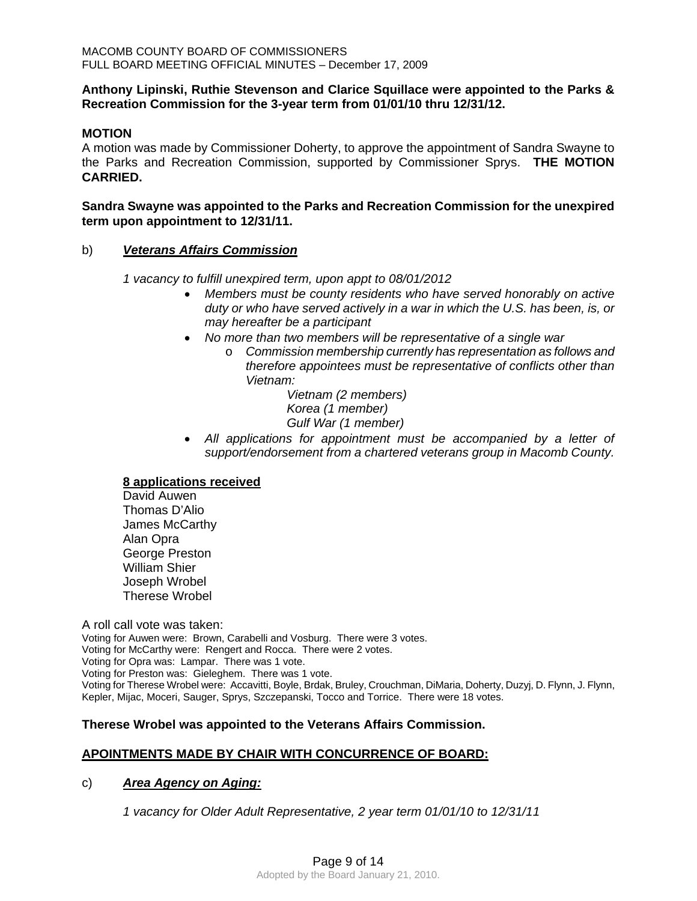# **Anthony Lipinski, Ruthie Stevenson and Clarice Squillace were appointed to the Parks & Recreation Commission for the 3-year term from 01/01/10 thru 12/31/12.**

### **MOTION**

A motion was made by Commissioner Doherty, to approve the appointment of Sandra Swayne to the Parks and Recreation Commission, supported by Commissioner Sprys. **THE MOTION CARRIED.** 

### **Sandra Swayne was appointed to the Parks and Recreation Commission for the unexpired term upon appointment to 12/31/11.**

# b)*Veterans Affairs Commission*

*1 vacancy to fulfill unexpired term, upon appt to 08/01/2012* 

- *Members must be county residents who have served honorably on active duty or who have served actively in a war in which the U.S. has been, is, or may hereafter be a participant*
- *No more than two members will be representative of a single war* 
	- o *Commission membership currently has representation as follows and therefore appointees must be representative of conflicts other than Vietnam:*

*Vietnam (2 members) Korea (1 member) Gulf War (1 member)* 

• All applications for appointment must be accompanied by a letter of *support/endorsement from a chartered veterans group in Macomb County.* 

### **8 applications received**

 David Auwen Thomas D'Alio James McCarthy Alan Opra George Preston William Shier Joseph Wrobel Therese Wrobel

A roll call vote was taken:

Voting for Auwen were: Brown, Carabelli and Vosburg. There were 3 votes. Voting for McCarthy were: Rengert and Rocca. There were 2 votes. Voting for Opra was: Lampar. There was 1 vote. Voting for Preston was: Gieleghem. There was 1 vote. Voting for Therese Wrobel were: Accavitti, Boyle, Brdak, Bruley, Crouchman, DiMaria, Doherty, Duzyj, D. Flynn, J. Flynn, Kepler, Mijac, Moceri, Sauger, Sprys, Szczepanski, Tocco and Torrice. There were 18 votes.

# **Therese Wrobel was appointed to the Veterans Affairs Commission.**

# **APOINTMENTS MADE BY CHAIR WITH CONCURRENCE OF BOARD:**

### c)*Area Agency on Aging:*

*1 vacancy for Older Adult Representative, 2 year term 01/01/10 to 12/31/11*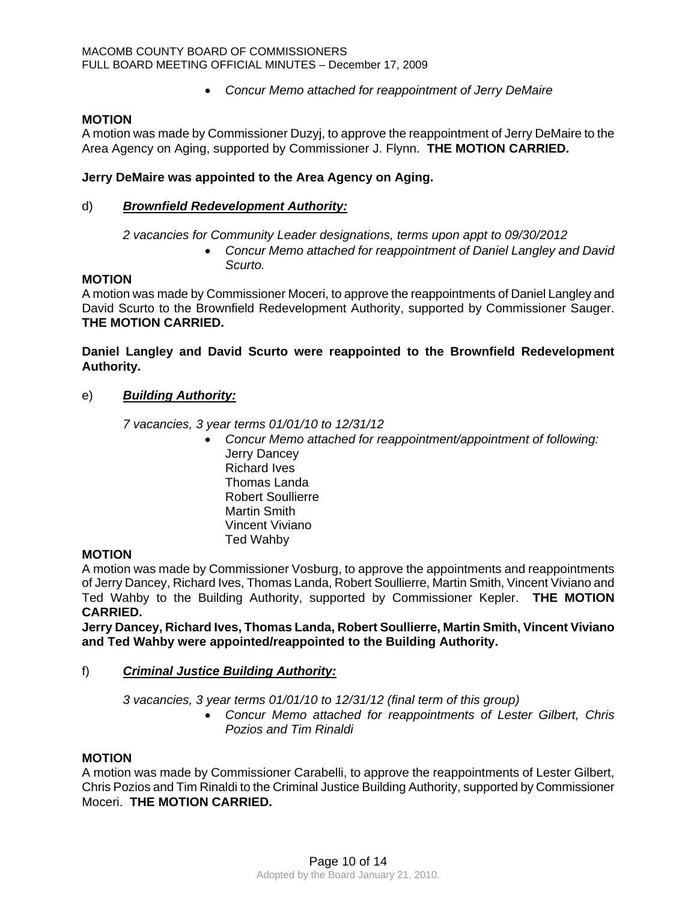• *Concur Memo attached for reappointment of Jerry DeMaire* 

## **MOTION**

A motion was made by Commissioner Duzyj, to approve the reappointment of Jerry DeMaire to the Area Agency on Aging, supported by Commissioner J. Flynn. **THE MOTION CARRIED.** 

## **Jerry DeMaire was appointed to the Area Agency on Aging.**

## d)*Brownfield Redevelopment Authority:*

*2 vacancies for Community Leader designations, terms upon appt to 09/30/2012* 

• *Concur Memo attached for reappointment of Daniel Langley and David Scurto.* 

### **MOTION**

A motion was made by Commissioner Moceri, to approve the reappointments of Daniel Langley and David Scurto to the Brownfield Redevelopment Authority, supported by Commissioner Sauger. **THE MOTION CARRIED.** 

**Daniel Langley and David Scurto were reappointed to the Brownfield Redevelopment Authority.** 

e) *Building Authority:*

*7 vacancies, 3 year terms 01/01/10 to 12/31/12* 

• *Concur Memo attached for reappointment/appointment of following:*  Jerry Dancey Richard Ives Thomas Landa Robert Soullierre Martin Smith Vincent Viviano Ted Wahby

### **MOTION**

A motion was made by Commissioner Vosburg, to approve the appointments and reappointments of Jerry Dancey, Richard Ives, Thomas Landa, Robert Soullierre, Martin Smith, Vincent Viviano and Ted Wahby to the Building Authority, supported by Commissioner Kepler. **THE MOTION CARRIED.** 

**Jerry Dancey, Richard Ives, Thomas Landa, Robert Soullierre, Martin Smith, Vincent Viviano and Ted Wahby were appointed/reappointed to the Building Authority.** 

### f) *Criminal Justice Building Authority:*

*3 vacancies, 3 year terms 01/01/10 to 12/31/12 (final term of this group)* 

• *Concur Memo attached for reappointments of Lester Gilbert, Chris Pozios and Tim Rinaldi* 

### **MOTION**

A motion was made by Commissioner Carabelli, to approve the reappointments of Lester Gilbert, Chris Pozios and Tim Rinaldi to the Criminal Justice Building Authority, supported by Commissioner Moceri. **THE MOTION CARRIED.**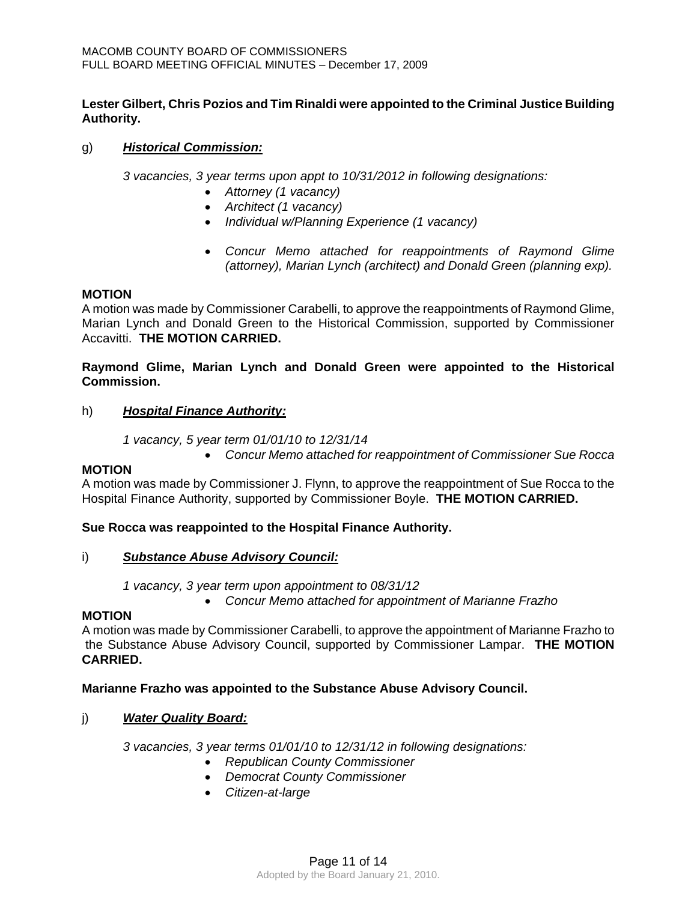# **Lester Gilbert, Chris Pozios and Tim Rinaldi were appointed to the Criminal Justice Building Authority.**

# g) *Historical Commission:*

*3 vacancies, 3 year terms upon appt to 10/31/2012 in following designations:* 

- *Attorney (1 vacancy)*
- *Architect (1 vacancy)*
- *Individual w/Planning Experience (1 vacancy)*
- *Concur Memo attached for reappointments of Raymond Glime (attorney), Marian Lynch (architect) and Donald Green (planning exp).*

### **MOTION**

A motion was made by Commissioner Carabelli, to approve the reappointments of Raymond Glime, Marian Lynch and Donald Green to the Historical Commission, supported by Commissioner Accavitti. **THE MOTION CARRIED.** 

# **Raymond Glime, Marian Lynch and Donald Green were appointed to the Historical Commission.**

# h) *Hospital Finance Authority:*

*1 vacancy, 5 year term 01/01/10 to 12/31/14* 

• *Concur Memo attached for reappointment of Commissioner Sue Rocca* 

# **MOTION**

A motion was made by Commissioner J. Flynn, to approve the reappointment of Sue Rocca to the Hospital Finance Authority, supported by Commissioner Boyle. **THE MOTION CARRIED.** 

### **Sue Rocca was reappointed to the Hospital Finance Authority.**

# i) *Substance Abuse Advisory Council:*

*1 vacancy, 3 year term upon appointment to 08/31/12* 

• *Concur Memo attached for appointment of Marianne Frazho* 

### **MOTION**

A motion was made by Commissioner Carabelli, to approve the appointment of Marianne Frazho to the Substance Abuse Advisory Council, supported by Commissioner Lampar. **THE MOTION CARRIED.** 

### **Marianne Frazho was appointed to the Substance Abuse Advisory Council.**

# j) *Water Quality Board:*

*3 vacancies, 3 year terms 01/01/10 to 12/31/12 in following designations:* 

- *Republican County Commissioner*
- *Democrat County Commissioner*
- *Citizen-at-large*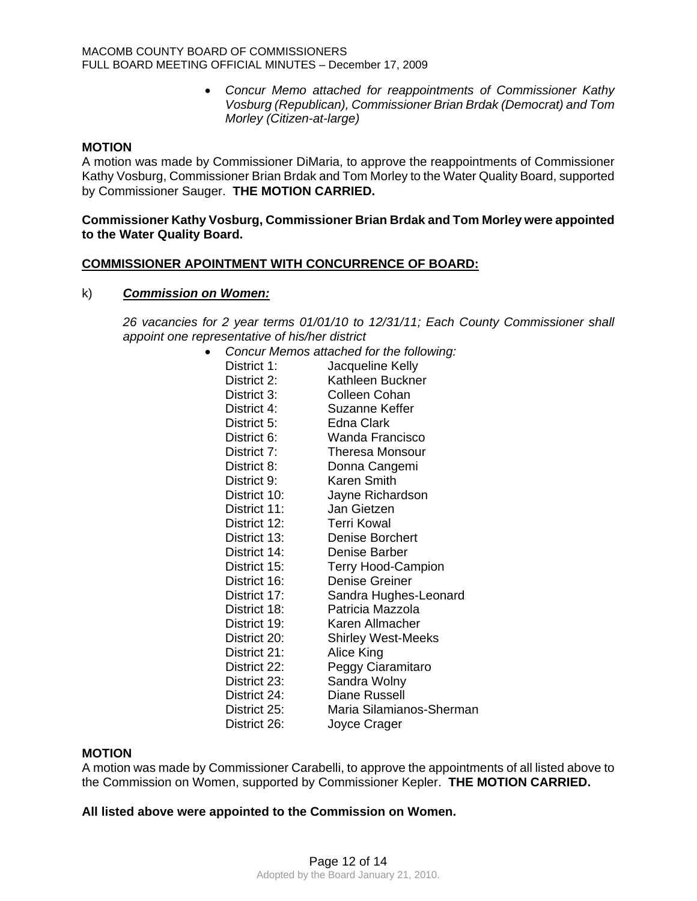• *Concur Memo attached for reappointments of Commissioner Kathy Vosburg (Republican), Commissioner Brian Brdak (Democrat) and Tom Morley (Citizen-at-large)* 

#### **MOTION**

A motion was made by Commissioner DiMaria, to approve the reappointments of Commissioner Kathy Vosburg, Commissioner Brian Brdak and Tom Morley to the Water Quality Board, supported by Commissioner Sauger. **THE MOTION CARRIED.** 

#### **Commissioner Kathy Vosburg, Commissioner Brian Brdak and Tom Morley were appointed to the Water Quality Board.**

#### **COMMISSIONER APOINTMENT WITH CONCURRENCE OF BOARD:**

#### k) *Commission on Women:*

*26 vacancies for 2 year terms 01/01/10 to 12/31/11; Each County Commissioner shall appoint one representative of his/her district* 

| Concur Memos attached for the following: |                           |  |  |
|------------------------------------------|---------------------------|--|--|
| District 1:                              | Jacqueline Kelly          |  |  |
| District 2:                              | Kathleen Buckner          |  |  |
| District 3:                              | <b>Colleen Cohan</b>      |  |  |
| District 4:                              | <b>Suzanne Keffer</b>     |  |  |
| District 5:                              | Edna Clark                |  |  |
| District 6:                              | Wanda Francisco           |  |  |
| District 7:                              | <b>Theresa Monsour</b>    |  |  |
| District 8:                              | Donna Cangemi             |  |  |
| District 9:                              | <b>Karen Smith</b>        |  |  |
| District 10:                             | Jayne Richardson          |  |  |
| District 11:                             | Jan Gietzen               |  |  |
| District 12:                             | <b>Terri Kowal</b>        |  |  |
| District 13:                             | <b>Denise Borchert</b>    |  |  |
| District 14:                             | Denise Barber             |  |  |
| District 15:                             | <b>Terry Hood-Campion</b> |  |  |
| District 16:                             | <b>Denise Greiner</b>     |  |  |
| District 17:                             | Sandra Hughes-Leonard     |  |  |
| District 18:                             | Patricia Mazzola          |  |  |
| District 19:                             | Karen Allmacher           |  |  |
| District 20:                             | <b>Shirley West-Meeks</b> |  |  |
| District 21:                             | Alice King                |  |  |
| District 22:                             | Peggy Ciaramitaro         |  |  |
| District 23:                             | Sandra Wolny              |  |  |
| District 24:                             | <b>Diane Russell</b>      |  |  |
| District 25:                             | Maria Silamianos-Sherman  |  |  |
| District 26:                             | Joyce Crager              |  |  |

#### **MOTION**

A motion was made by Commissioner Carabelli, to approve the appointments of all listed above to the Commission on Women, supported by Commissioner Kepler. **THE MOTION CARRIED.** 

### **All listed above were appointed to the Commission on Women.**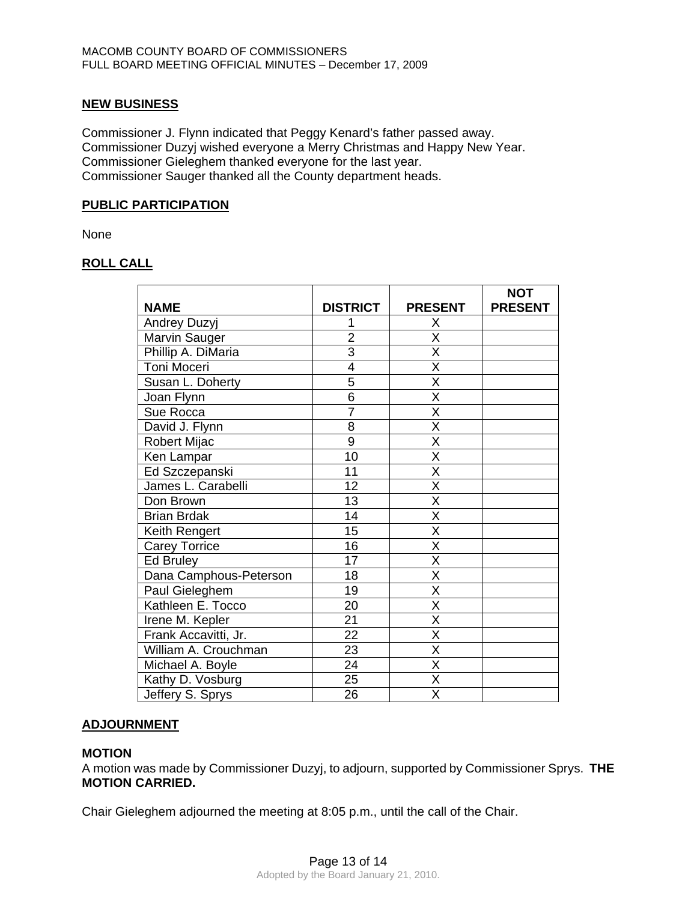## **NEW BUSINESS**

Commissioner J. Flynn indicated that Peggy Kenard's father passed away. Commissioner Duzyj wished everyone a Merry Christmas and Happy New Year. Commissioner Gieleghem thanked everyone for the last year. Commissioner Sauger thanked all the County department heads.

# **PUBLIC PARTICIPATION**

None

# **ROLL CALL**

|                        |                 |                         | <b>NOT</b>     |
|------------------------|-----------------|-------------------------|----------------|
| <b>NAME</b>            | <b>DISTRICT</b> | <b>PRESENT</b>          | <b>PRESENT</b> |
| <b>Andrey Duzyj</b>    | 1               | Χ                       |                |
| Marvin Sauger          | $\overline{2}$  | $\overline{\sf x}$      |                |
| Phillip A. DiMaria     | $\overline{3}$  | X                       |                |
| Toni Moceri            | 4               | $\overline{\mathsf{x}}$ |                |
| Susan L. Doherty       | 5               | X                       |                |
| Joan Flynn             | 6               | Χ                       |                |
| Sue Rocca              | $\overline{7}$  | X                       |                |
| David J. Flynn         | 8               | X                       |                |
| Robert Mijac           | 9               | X                       |                |
| Ken Lampar             | 10              | $\overline{\mathsf{x}}$ |                |
| Ed Szczepanski         | 11              | X                       |                |
| James L. Carabelli     | 12              | X                       |                |
| Don Brown              | 13              | X                       |                |
| <b>Brian Brdak</b>     | 14              | $\overline{\mathsf{x}}$ |                |
| Keith Rengert          | 15              | X                       |                |
| <b>Carey Torrice</b>   | 16              | X                       |                |
| Ed Bruley              | 17              | X                       |                |
| Dana Camphous-Peterson | 18              | X                       |                |
| Paul Gieleghem         | 19              | $\overline{\mathsf{x}}$ |                |
| Kathleen E. Tocco      | 20              | X                       |                |
| Irene M. Kepler        | 21              | Χ                       |                |
| Frank Accavitti, Jr.   | 22              | X                       |                |
| William A. Crouchman   | 23              | X                       |                |
| Michael A. Boyle       | 24              | $\overline{\mathsf{x}}$ |                |
| Kathy D. Vosburg       | 25              | $\overline{\mathsf{x}}$ |                |
| Jeffery S. Sprys       | 26              | X                       |                |

### **ADJOURNMENT**

### **MOTION**

A motion was made by Commissioner Duzyj, to adjourn, supported by Commissioner Sprys. **THE MOTION CARRIED.** 

Chair Gieleghem adjourned the meeting at 8:05 p.m., until the call of the Chair.